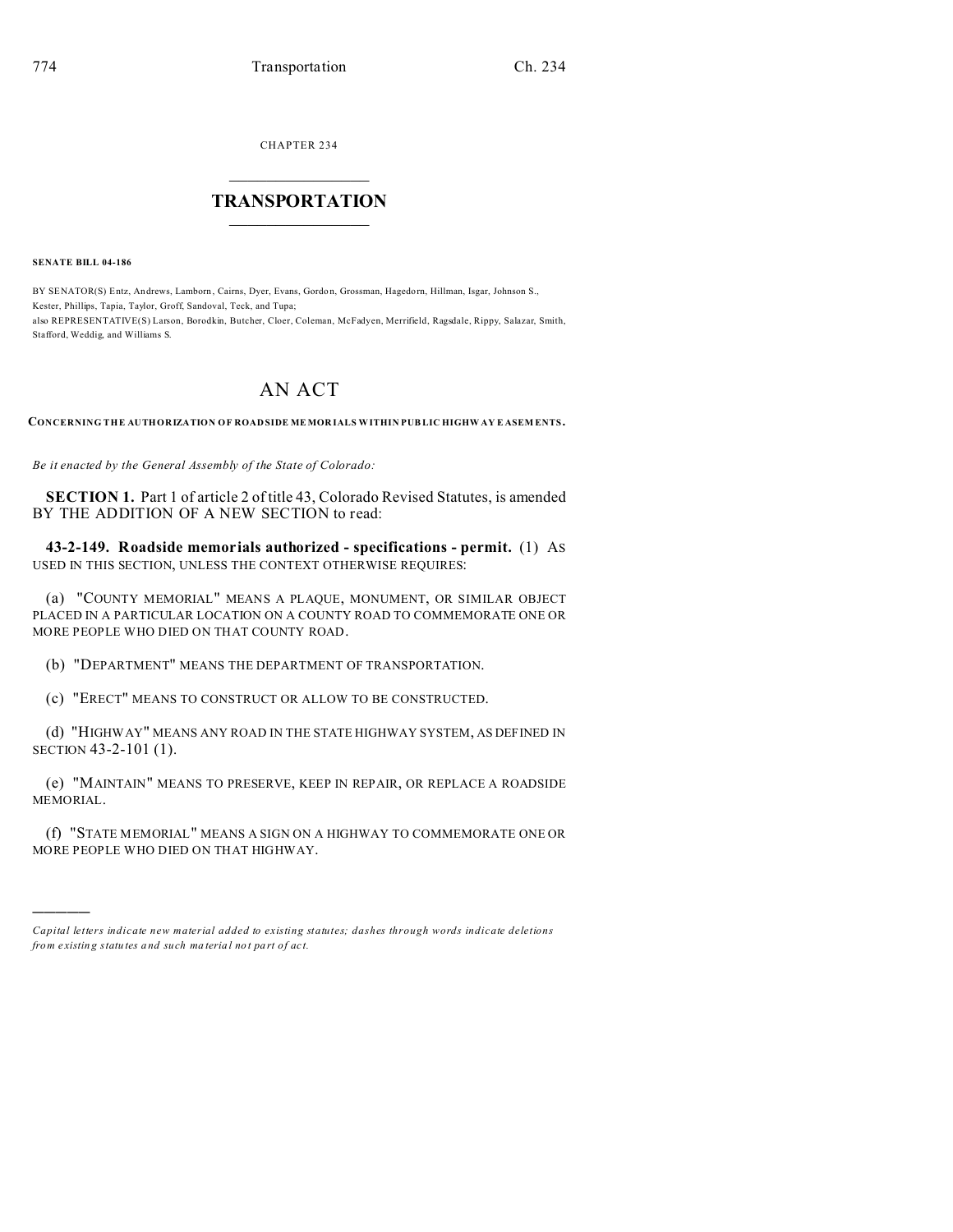CHAPTER 234  $\overline{\phantom{a}}$  , where  $\overline{\phantom{a}}$ 

## **TRANSPORTATION**  $\_$   $\_$   $\_$   $\_$   $\_$   $\_$   $\_$   $\_$   $\_$

**SENATE BILL 04-186**

)))))

BY SENATOR(S) Entz, Andrews, Lamborn, Cairns, Dyer, Evans, Gordon, Grossman, Hagedorn, Hillman, Isgar, Johnson S., Kester, Phillips, Tapia, Taylor, Groff, Sandoval, Teck, and Tupa; also REPRESENTATIVE(S) Larson, Borodkin, Butcher, Cloer, Coleman, McFadyen, Merrifield, Ragsdale, Rippy, Salazar, Smith, Stafford, Weddig, and Williams S.

## AN ACT

**CONCERNING THE AUTHORIZATION OF ROAD SIDE MEMOR IALS WITHIN PUBLIC HIGHW AY E ASEM ENTS.**

*Be it enacted by the General Assembly of the State of Colorado:*

**SECTION 1.** Part 1 of article 2 of title 43, Colorado Revised Statutes, is amended BY THE ADDITION OF A NEW SECTION to read:

**43-2-149. Roadside memorials authorized - specifications - permit.** (1) AS USED IN THIS SECTION, UNLESS THE CONTEXT OTHERWISE REQUIRES:

(a) "COUNTY MEMORIAL" MEANS A PLAQUE, MONUMENT, OR SIMILAR OBJECT PLACED IN A PARTICULAR LOCATION ON A COUNTY ROAD TO COMMEMORATE ONE OR MORE PEOPLE WHO DIED ON THAT COUNTY ROAD.

(b) "DEPARTMENT" MEANS THE DEPARTMENT OF TRANSPORTATION.

(c) "ERECT" MEANS TO CONSTRUCT OR ALLOW TO BE CONSTRUCTED.

(d) "HIGHWAY" MEANS ANY ROAD IN THE STATE HIGHWAY SYSTEM, AS DEFINED IN SECTION 43-2-101 (1).

(e) "MAINTAIN" MEANS TO PRESERVE, KEEP IN REPAIR, OR REPLACE A ROADSIDE MEMORIAL.

(f) "STATE MEMORIAL" MEANS A SIGN ON A HIGHWAY TO COMMEMORATE ONE OR MORE PEOPLE WHO DIED ON THAT HIGHWAY.

*Capital letters indicate new material added to existing statutes; dashes through words indicate deletions from e xistin g statu tes a nd such ma teria l no t pa rt of ac t.*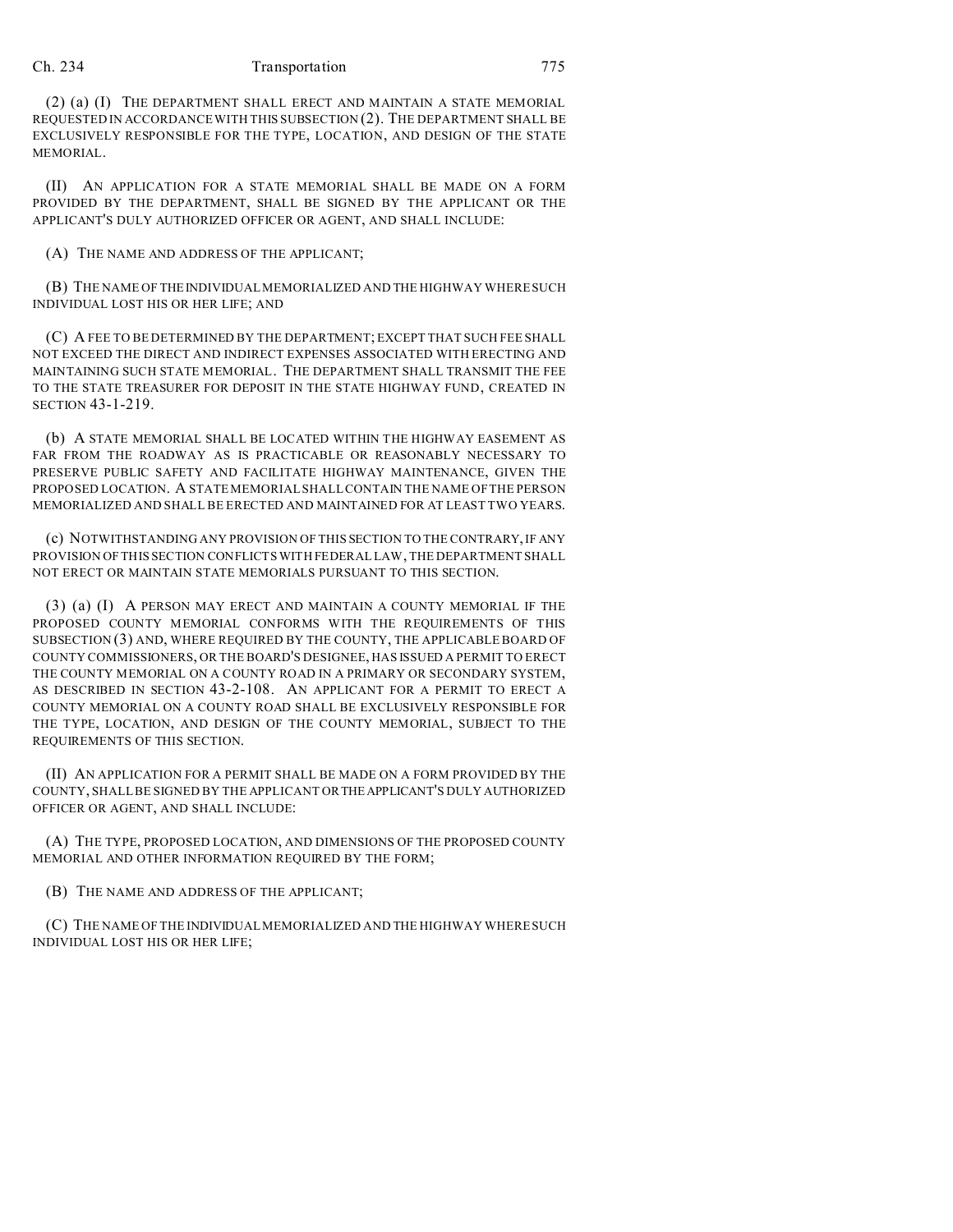## Ch. 234 Transportation 775

(2) (a) (I) THE DEPARTMENT SHALL ERECT AND MAINTAIN A STATE MEMORIAL REQUESTED IN ACCORDANCE WITH THIS SUBSECTION (2). THE DEPARTMENT SHALL BE EXCLUSIVELY RESPONSIBLE FOR THE TYPE, LOCATION, AND DESIGN OF THE STATE MEMORIAL.

(II) AN APPLICATION FOR A STATE MEMORIAL SHALL BE MADE ON A FORM PROVIDED BY THE DEPARTMENT, SHALL BE SIGNED BY THE APPLICANT OR THE APPLICANT'S DULY AUTHORIZED OFFICER OR AGENT, AND SHALL INCLUDE:

(A) THE NAME AND ADDRESS OF THE APPLICANT;

(B) THE NAME OF THEINDIVIDUAL MEMORIALIZED AND THE HIGHWAY WHERE SUCH INDIVIDUAL LOST HIS OR HER LIFE; AND

(C) A FEE TO BE DETERMINED BY THE DEPARTMENT; EXCEPT THAT SUCH FEE SHALL NOT EXCEED THE DIRECT AND INDIRECT EXPENSES ASSOCIATED WITH ERECTING AND MAINTAINING SUCH STATE MEMORIAL. THE DEPARTMENT SHALL TRANSMIT THE FEE TO THE STATE TREASURER FOR DEPOSIT IN THE STATE HIGHWAY FUND, CREATED IN SECTION 43-1-219.

(b) A STATE MEMORIAL SHALL BE LOCATED WITHIN THE HIGHWAY EASEMENT AS FAR FROM THE ROADWAY AS IS PRACTICABLE OR REASONABLY NECESSARY TO PRESERVE PUBLIC SAFETY AND FACILITATE HIGHWAY MAINTENANCE, GIVEN THE PROPOSED LOCATION. A STATE MEMORIAL SHALL CONTAIN THE NAME OF THE PERSON MEMORIALIZED AND SHALL BE ERECTED AND MAINTAINED FOR AT LEAST TWO YEARS.

(c) NOTWITHSTANDING ANY PROVISION OF THIS SECTION TO THE CONTRARY, IF ANY PROVISION OF THIS SECTION CONFLICTS WITH FEDERAL LAW, THE DEPARTMENT SHALL NOT ERECT OR MAINTAIN STATE MEMORIALS PURSUANT TO THIS SECTION.

(3) (a) (I) A PERSON MAY ERECT AND MAINTAIN A COUNTY MEMORIAL IF THE PROPOSED COUNTY MEMORIAL CONFORMS WITH THE REQUIREMENTS OF THIS SUBSECTION (3) AND, WHERE REQUIRED BY THE COUNTY, THE APPLICABLE BOARD OF COUNTY COMMISSIONERS, OR THE BOARD'S DESIGNEE, HAS ISSUED A PERMIT TO ERECT THE COUNTY MEMORIAL ON A COUNTY ROAD IN A PRIMARY OR SECONDARY SYSTEM, AS DESCRIBED IN SECTION 43-2-108. AN APPLICANT FOR A PERMIT TO ERECT A COUNTY MEMORIAL ON A COUNTY ROAD SHALL BE EXCLUSIVELY RESPONSIBLE FOR THE TYPE, LOCATION, AND DESIGN OF THE COUNTY MEMORIAL, SUBJECT TO THE REQUIREMENTS OF THIS SECTION.

(II) AN APPLICATION FOR A PERMIT SHALL BE MADE ON A FORM PROVIDED BY THE COUNTY, SHALL BE SIGNED BY THE APPLICANT ORTHEAPPLICANT'S DULY AUTHORIZED OFFICER OR AGENT, AND SHALL INCLUDE:

(A) THE TYPE, PROPOSED LOCATION, AND DIMENSIONS OF THE PROPOSED COUNTY MEMORIAL AND OTHER INFORMATION REQUIRED BY THE FORM;

(B) THE NAME AND ADDRESS OF THE APPLICANT;

(C) THE NAME OF THE INDIVIDUAL MEMORIALIZED AND THE HIGHWAY WHERE SUCH INDIVIDUAL LOST HIS OR HER LIFE;